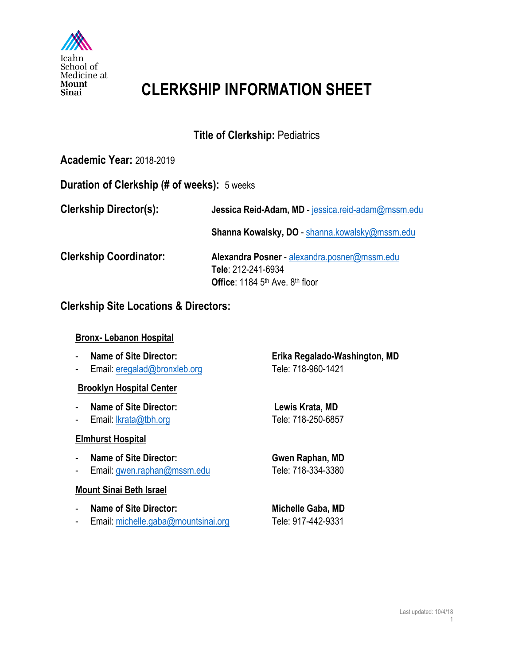

# **CLERKSHIP INFORMATION SHEET**

# **Title of Clerkship:** Pediatrics

## **Academic Year:** 2018-2019

### **Duration of Clerkship (# of weeks):** 5 weeks

**Clerkship Director(s): Jessica Reid-Adam, MD** - jessica.reid-adam@mssm.edu **Shanna Kowalsky, DO** - shanna.kowalsky@mssm.edu **Clerkship Coordinator: Alexandra Posner** - alexandra.posner@mssm.edu **Tele**: 212-241-6934 **Office**: 1184 5th Ave. 8th floor

## **Clerkship Site Locations & Directors:**

#### **Bronx- Lebanon Hospital**

- 
- Email: eregalad@bronxleb.org Tele: 718-960-1421

#### **Brooklyn Hospital Center**

- **Name of Site Director: Lewis Krata, MD**
- Email: lkrata@tbh.org Tele: 718-250-6857

#### **Elmhurst Hospital**

- **Name of Site Director: Gwen Raphan, MD**
- Email: gwen.raphan@mssm.edu Tele: 718-334-3380

#### **Mount Sinai Beth Israel**

- Name of Site Director: Michelle Gaba, MD
- Email: michelle.gaba@mountsinai.org Tele: 917-442-9331

- **Name of Site Director: Erika Regalado-Washington, MD**